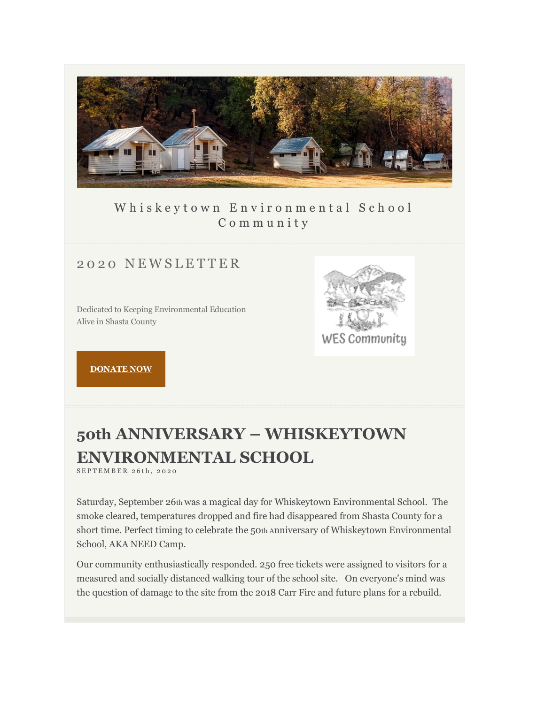

### Whiskeytown Environmental School C o m m u n i t y

### 2 0 2 0 N E W S L E T T E R

Dedicated to Keeping Environmental Education Alive in Shasta County



**[DONATE NOW](https://www.wesforever.org/donate/)**

# **50th ANNIVERSARY – WHISKEYTOWN ENVIRONMENTAL SCHOOL**

SEPTEMBER 26th, 2020

Saturday, September 26th was a magical day for Whiskeytown Environmental School. The smoke cleared, temperatures dropped and fire had disappeared from Shasta County for a short time. Perfect timing to celebrate the 50th Anniversary of Whiskeytown Environmental School, AKA NEED Camp.

Our community enthusiastically responded. 250 free tickets were assigned to visitors for a measured and socially distanced walking tour of the school site. On everyone's mind was the question of damage to the site from the 2018 Carr Fire and future plans for a rebuild.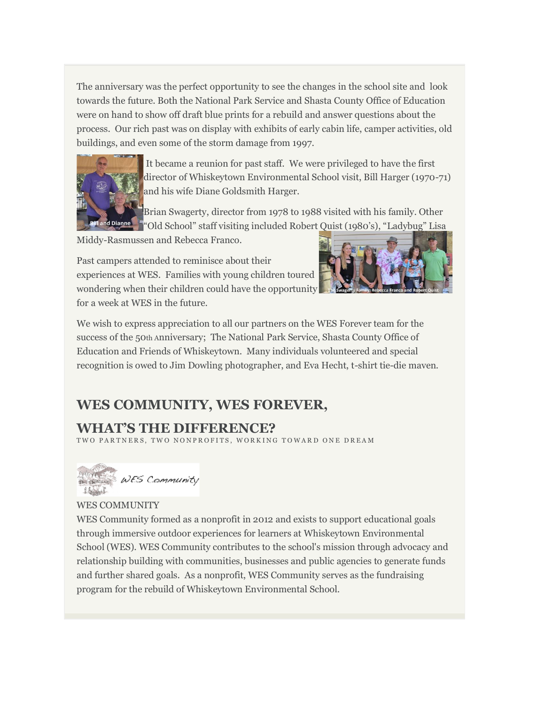The anniversary was the perfect opportunity to see the changes in the school site and look towards the future. Both the National Park Service and Shasta County Office of Education were on hand to show off draft blue prints for a rebuild and answer questions about the process. Our rich past was on display with exhibits of early cabin life, camper activities, old buildings, and even some of the storm damage from 1997.



It became a reunion for past staff. We were privileged to have the first director of Whiskeytown Environmental School visit, Bill Harger (1970-71) and his wife Diane Goldsmith Harger.

Brian Swagerty, director from 1978 to 1988 visited with his family. Other I and Dianne To Old School" staff visiting included Robert Quist (1980's), "Ladybug" Lisa

Middy-Rasmussen and Rebecca Franco.

Past campers attended to reminisce about their experiences at WES. Families with young children toured wondering when their children could have the opportunity for a week at WES in the future.



We wish to express appreciation to all our partners on the WES Forever team for the success of the 50th Anniversary; The National Park Service, Shasta County Office of Education and Friends of Whiskeytown. Many individuals volunteered and special recognition is owed to Jim Dowling photographer, and Eva Hecht, t-shirt tie-die maven.

# **WES COMMUNITY, WES FOREVER,**

## **WHAT'S THE DIFFERENCE?**

TWO PARTNERS, TWO NONPROFITS, WORKING TOWARD ONE DREAM



### WES COMMUNITY

WES Community formed as a nonprofit in 2012 and exists to support educational goals through immersive outdoor experiences for learners at Whiskeytown Environmental School (WES). WES Community contributes to the school's mission through advocacy and relationship building with communities, businesses and public agencies to generate funds and further shared goals. As a nonprofit, WES Community serves as the fundraising program for the rebuild of Whiskeytown Environmental School.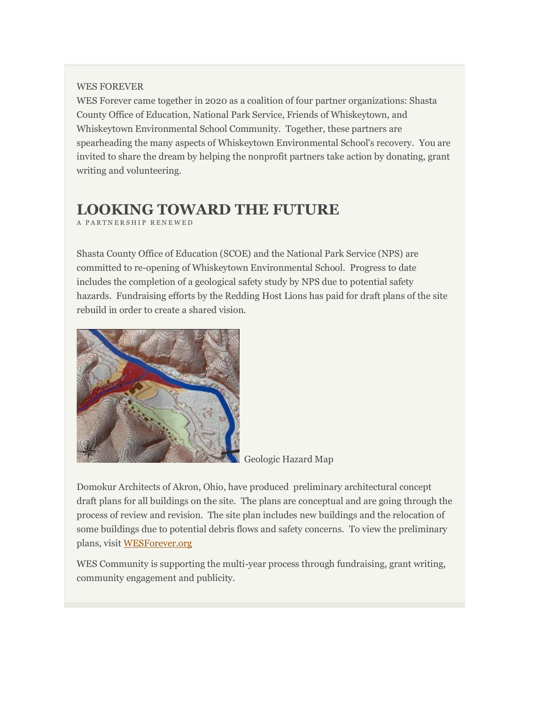#### WES FOREVER

WES Forever came together in 2020 as a coalition of four partner organizations: Shasta County Office of Education, National Park Service, Friends of Whiskeytown, and Whiskeytown Environmental School Community. Together, these partners are spearheading the many aspects of Whiskeytown Environmental School's recovery. You are invited to share the dream by helping the nonprofit partners take action by donating, grant writing and volunteering.

# **LOOKING TOWARD THE FUTURE**

A PARTNERSHIP RENEWED

Shasta County Office of Education (SCOE) and the National Park Service (NPS) are committed to re-opening of Whiskeytown Environmental School. Progress to date includes the completion of a geological safety study by NPS due to potential safety hazards. Fundraising efforts by the Redding Host Lions has paid for draft plans of the site rebuild in order to create a shared vision.



Geologic Hazard Map

Domokur Architects of Akron, Ohio, have produced preliminary architectural concept draft plans for all buildings on the site. The plans are conceptual and are going through the process of review and revision. The site plan includes new buildings and the relocation of some buildings due to potential debris flows and safety concerns. To view the preliminary plans, visit [WESForever.org](https://www.wesforever.org/preliminary-design-concepts/)

WES Community is supporting the multi-year process through fundraising, grant writing, community engagement and publicity.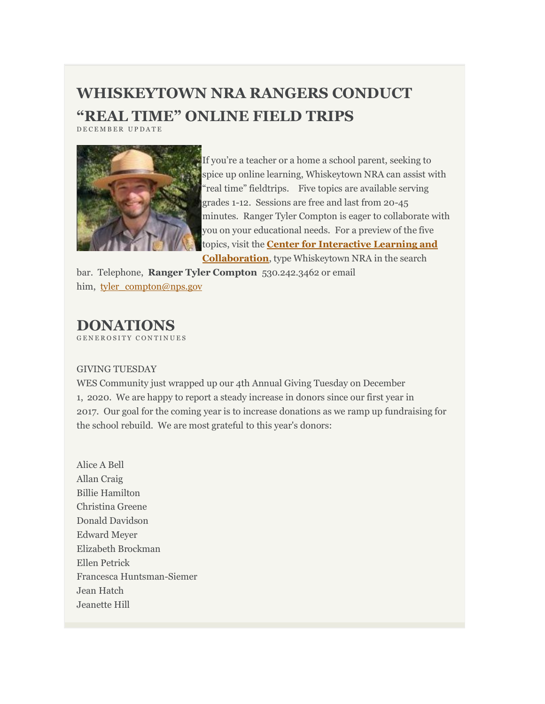# **WHISKEYTOWN NRA RANGERS CONDUCT "REAL TIME" ONLINE FIELD TRIPS**

D E C E M B E R U P D A T E



If you're a teacher or a home a school parent, seeking to spice up online learning, Whiskeytown NRA can assist with 'real time" fieldtrips. Five topics are available serving grades 1-12. Sessions are free and last from 20-45 minutes. Ranger Tyler Compton is eager to collaborate with you on your educational needs. For a preview of the five topics, visit the **[Center for Interactive Learning and](https://www.cilc.org/Interactive-Content/Search-Content-Provider-Programs.aspx?searchtext=whiskeytown+National+Recreation+Area&searchmode=anyword)  [Collaboration](https://www.cilc.org/Interactive-Content/Search-Content-Provider-Programs.aspx?searchtext=whiskeytown+National+Recreation+Area&searchmode=anyword)**, type Whiskeytown NRA in the search

bar. Telephone, **Ranger Tyler Compton** 530.242.3462 or email him, [tyler\\_compton@nps.gov](mailto:tyler_compton@nps.gov)

# **DONATI**

GENEROSITY CONTINUES

#### GIVING TUESDAY

WES Community just wrapped up our 4th Annual Giving Tuesday on December 1, 2020. We are happy to report a steady increase in donors since our first year in 2017. Our goal for the coming year is to increase donations as we ramp up fundraising for the school rebuild. We are most grateful to this year's donors:

Alice A Bell Allan Craig Billie Hamilton Christina Greene Donald Davidson Edward Meyer Elizabeth Brockman Ellen Petrick Francesca Huntsman-Siemer Jean Hatch Jeanette Hill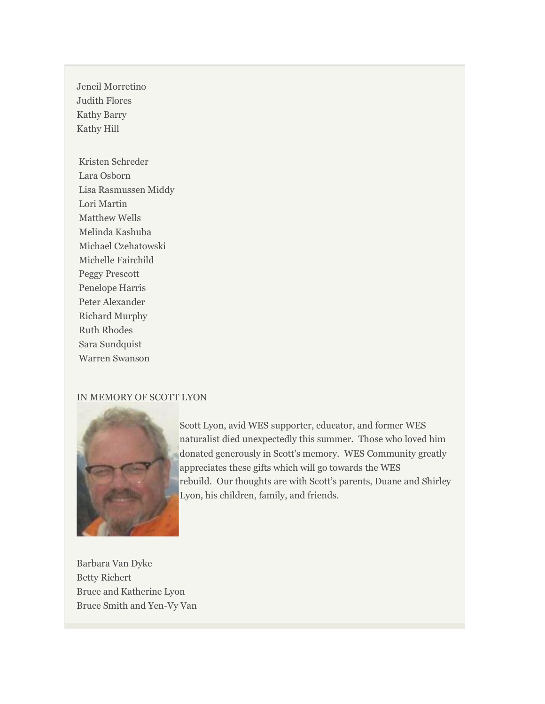Jeneil Morretino Judith Flores Kathy Barry Kathy Hill

Kristen Schreder Lara Osborn Lisa Rasmussen Middy Lori Martin Matthew Wells Melinda Kashuba Michael Czehatowski Michelle Fairchild Peggy Prescott Penelope Harris Peter Alexander Richard Murphy Ruth Rhodes Sara Sundquist Warren Swanson

#### IN MEMORY OF SCOTT LYON



Scott Lyon, avid WES supporter, educator, and former WES naturalist died unexpectedly this summer. Those who loved him donated generously in Scott's memory. WES Community greatly appreciates these gifts which will go towards the WES rebuild. Our thoughts are with Scott's parents, Duane and Shirley Lyon, his children, family, and friends.

Barbara Van Dyke Betty Richert Bruce and Katherine Lyon Bruce Smith and Yen-Vy Van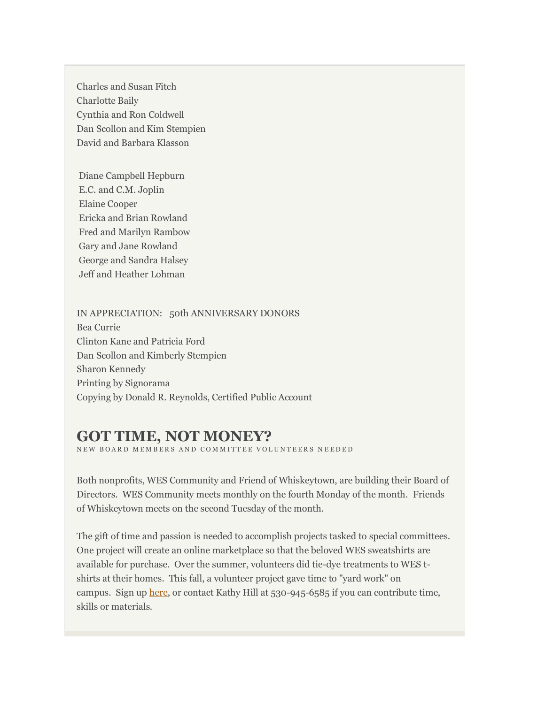Charles and Susan Fitch Charlotte Baily Cynthia and Ron Coldwell Dan Scollon and Kim Stempien David and Barbara Klasson

Diane Campbell Hepburn E.C. and C.M. Joplin Elaine Cooper Ericka and Brian Rowland Fred and Marilyn Rambow Gary and Jane Rowland George and Sandra Halsey Jeff and Heather Lohman

IN APPRECIATION: 50th ANNIVERSARY DONORS Bea Currie Clinton Kane and Patricia Ford Dan Scollon and Kimberly Stempien Sharon Kennedy Printing by Signorama Copying by Donald R. Reynolds, Certified Public Account

## **GOT TIME, NOT MONEY?**

NEW BOARD MEMBERS AND COMMITTEE VOLUNTEERS NEEDED

Both nonprofits, WES Community and Friend of Whiskeytown, are building their Board of Directors. WES Community meets monthly on the fourth Monday of the month. Friends of Whiskeytown meets on the second Tuesday of the month.

The gift of time and passion is needed to accomplish projects tasked to special committees. One project will create an online marketplace so that the beloved WES sweatshirts are available for purchase. Over the summer, volunteers did tie-dye treatments to WES tshirts at their homes. This fall, a volunteer project gave time to "yard work" on campus. Sign up [here,](https://www.wesforever.org/how-can-i-help/) or contact Kathy Hill at 530-945-6585 if you can contribute time, skills or materials.